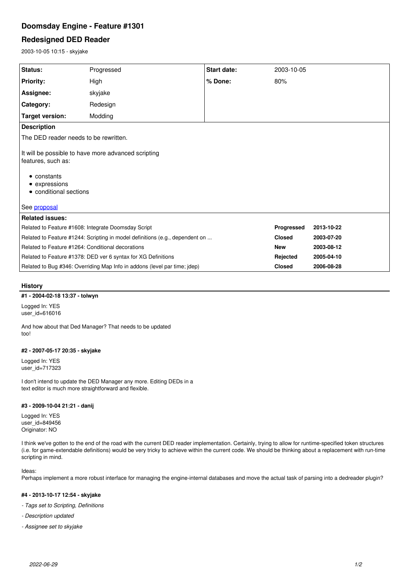# **Doomsday Engine - Feature #1301**

## **Redesigned DED Reader**

2003-10-05 10:15 - skyjake

| <b>Status:</b>                                                                                                                                      | Progressed | <b>Start date:</b> | 2003-10-05    |            |
|-----------------------------------------------------------------------------------------------------------------------------------------------------|------------|--------------------|---------------|------------|
| <b>Priority:</b>                                                                                                                                    | High       | % Done:            | 80%           |            |
| Assignee:                                                                                                                                           | skyjake    |                    |               |            |
| Category:                                                                                                                                           | Redesign   |                    |               |            |
| <b>Target version:</b>                                                                                                                              | Modding    |                    |               |            |
| <b>Description</b>                                                                                                                                  |            |                    |               |            |
| The DED reader needs to be rewritten.                                                                                                               |            |                    |               |            |
| It will be possible to have more advanced scripting<br>features, such as:<br>• constants<br>• expressions<br>• conditional sections<br>See proposal |            |                    |               |            |
| <b>Related issues:</b>                                                                                                                              |            |                    |               |            |
| Related to Feature #1608: Integrate Doomsday Script                                                                                                 |            |                    | Progressed    | 2013-10-22 |
| Related to Feature #1244: Scripting in model definitions (e.g., dependent on                                                                        |            |                    | <b>Closed</b> | 2003-07-20 |
| Related to Feature #1264: Conditional decorations                                                                                                   |            |                    | <b>New</b>    | 2003-08-12 |
| Related to Feature #1378: DED ver 6 syntax for XG Definitions                                                                                       |            |                    | Rejected      | 2005-04-10 |
| Related to Bug #346: Overriding Map Info in addons (level par time; jdep)                                                                           |            |                    | <b>Closed</b> | 2006-08-28 |

## **History**

#### **#1 - 2004-02-18 13:37 - tolwyn**

Logged In: YES user\_id=616016

And how about that Ded Manager? That needs to be updated too!

#### **#2 - 2007-05-17 20:35 - skyjake**

Logged In: YES user\_id=717323

I don't intend to update the DED Manager any more. Editing DEDs in a text editor is much more straightforward and flexible.

#### **#3 - 2009-10-04 21:21 - danij**

Logged In: YES user\_id=849456 Originator: NO

I think we've gotten to the end of the road with the current DED reader implementation. Certainly, trying to allow for runtime-specified token structures (i.e. for game-extendable definitions) would be very tricky to achieve within the current code. We should be thinking about a replacement with run-time scripting in mind.

### Ideas:

Perhaps implement a more robust interface for managing the engine-internal databases and move the actual task of parsing into a dedreader plugin?

### **#4 - 2013-10-17 12:54 - skyjake**

- *Tags set to Scripting, Definitions*
- *Description updated*
- *Assignee set to skyjake*